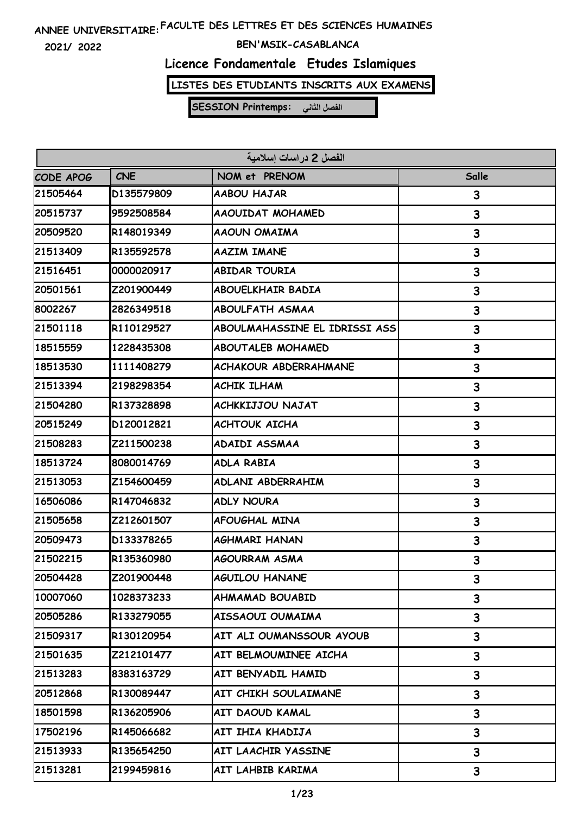**2021/ 2022**

### **BEN'MSIK-CASABLANCA**

### **Licence Fondamentale Etudes Islamiques**

**LISTES DES ETUDIANTS INSCRITS AUX EXAMENS**

| الفصل 2 دراسات إسلامية |            |                               |       |
|------------------------|------------|-------------------------------|-------|
| CODE APOG              | <b>CNE</b> | NOM et PRENOM                 | Salle |
| 21505464               | D135579809 | AABOU HAJAR                   | 3     |
| 20515737               | 9592508584 | AAOUIDAT MOHAMED              | 3     |
| 20509520               | R148019349 | AAOUN OMAIMA                  | 3     |
| 21513409               | R135592578 | <b>AAZIM IMANE</b>            | 3     |
| 21516451               | 0000020917 | <b>ABIDAR TOURIA</b>          | 3     |
| 20501561               | Z201900449 | <b>ABOUELKHAIR BADIA</b>      | 3     |
| 8002267                | 2826349518 | <b>ABOULFATH ASMAA</b>        | 3     |
| 21501118               | R110129527 | ABOULMAHASSINE EL IDRISSI ASS | 3     |
| 18515559               | 1228435308 | <b>ABOUTALEB MOHAMED</b>      | 3     |
| 18513530               | 1111408279 | <b>ACHAKOUR ABDERRAHMANE</b>  | 3     |
| 21513394               | 2198298354 | <b>ACHIK ILHAM</b>            | 3     |
| 21504280               | R137328898 | <b>ACHKKIJJOU NAJAT</b>       | 3     |
| 20515249               | D120012821 | <b>ACHTOUK AICHA</b>          | 3     |
| 21508283               | Z211500238 | ADAIDI ASSMAA                 | 3     |
| 18513724               | 8080014769 | <b>ADLA RABIA</b>             | 3     |
| 21513053               | Z154600459 | ADLANI ABDERRAHIM             | 3     |
| 16506086               | R147046832 | <b>ADLY NOURA</b>             | 3     |
| 21505658               | Z212601507 | <b>AFOUGHAL MINA</b>          | 3     |
| 20509473               | D133378265 | AGHMARI HANAN                 | 3     |
| 21502215               | R135360980 | <b>AGOURRAM ASMA</b>          | 3     |
| 20504428               | Z201900448 | <b>AGUILOU HANANE</b>         | 3     |
| 10007060               | 1028373233 | <b>AHMAMAD BOUABID</b>        | 3     |
| 20505286               | R133279055 | AISSAOUI OUMAIMA              | 3     |
| 21509317               | R130120954 | AIT ALI OUMANSSOUR AYOUB      | 3     |
| 21501635               | Z212101477 | AIT BELMOUMINEE AICHA         | 3     |
| 21513283               | 8383163729 | AIT BENYADIL HAMID            | 3     |
| 20512868               | R130089447 | AIT CHIKH SOULAIMANE          | 3     |
| 18501598               | R136205906 | AIT DAOUD KAMAL               | 3     |
| 17502196               | R145066682 | AIT IHIA KHADIJA              | 3     |
| 21513933               | R135654250 | AIT LAACHIR YASSINE           | 3     |
| 21513281               | 2199459816 | AIT LAHBIB KARIMA             | 3     |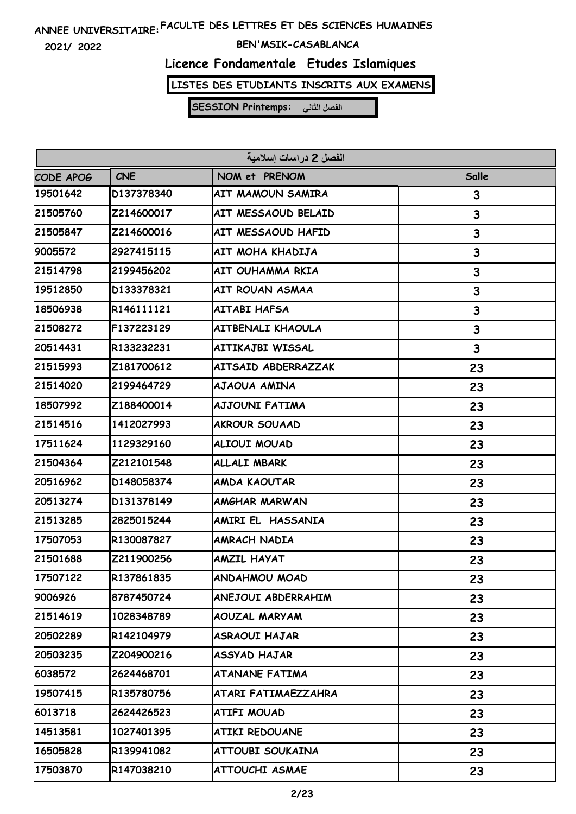**2021/ 2022**

### **BEN'MSIK-CASABLANCA**

### **Licence Fondamentale Etudes Islamiques**

**LISTES DES ETUDIANTS INSCRITS AUX EXAMENS**

| الفصل 2 در اسات اسلامية |            |                          |              |
|-------------------------|------------|--------------------------|--------------|
| <b>CODE APOG</b>        | <b>CNE</b> | NOM et PRENOM            | <b>Salle</b> |
| 19501642                | D137378340 | <b>AIT MAMOUN SAMIRA</b> | 3            |
| 21505760                | Z214600017 | AIT MESSAOUD BELAID      | 3            |
| 21505847                | Z214600016 | AIT MESSAOUD HAFID       | 3            |
| 9005572                 | 2927415115 | AIT MOHA KHADIJA         | 3            |
| 21514798                | 2199456202 | AIT OUHAMMA RKIA         | 3            |
| 19512850                | D133378321 | AIT ROUAN ASMAA          | 3            |
| 18506938                | R146111121 | <b>AITABI HAFSA</b>      | 3            |
| 21508272                | F137223129 | <b>AITBENALI KHAOULA</b> | 3            |
| 20514431                | R133232231 | AITIKAJBI WISSAL         | 3            |
| 21515993                | Z181700612 | AITSAID ABDERRAZZAK      | 23           |
| 21514020                | 2199464729 | AJAOUA AMINA             | 23           |
| 18507992                | Z188400014 | <b>AJJOUNI FATIMA</b>    | 23           |
| 21514516                | 1412027993 | <b>AKROUR SOUAAD</b>     | 23           |
| 17511624                | 1129329160 | ALIOUI MOUAD             | 23           |
| 21504364                | Z212101548 | <b>ALLALI MBARK</b>      | 23           |
| 20516962                | D148058374 | <b>AMDA KAOUTAR</b>      | 23           |
| 20513274                | D131378149 | <b>AMGHAR MARWAN</b>     | 23           |
| 21513285                | 2825015244 | AMIRI EL HASSANIA        | 23           |
| 17507053                | R130087827 | <b>AMRACH NADIA</b>      | 23           |
| 21501688                | Z211900256 | <b>AMZIL HAYAT</b>       | 23           |
| 17507122                | R137861835 | ANDAHMOU MOAD            | 23           |
| 9006926                 | 8787450724 | ANEJOUI ABDERRAHIM       | 23           |
| 21514619                | 1028348789 | <b>AOUZAL MARYAM</b>     | 23           |
| 20502289                | R142104979 | ASRAOUI HAJAR            | 23           |
| 20503235                | Z204900216 | ASSYAD HAJAR             | 23           |
| 6038572                 | 2624468701 | <b>ATANANE FATIMA</b>    | 23           |
| 19507415                | R135780756 | ATARI FATIMAEZZAHRA      | 23           |
| 6013718                 | 2624426523 | ATIFI MOUAD              | 23           |
| 14513581                | 1027401395 | <b>ATIKI REDOUANE</b>    | 23           |
| 16505828                | R139941082 | ATTOUBI SOUKAINA         | 23           |
| 17503870                | R147038210 | <b>ATTOUCHI ASMAE</b>    | 23           |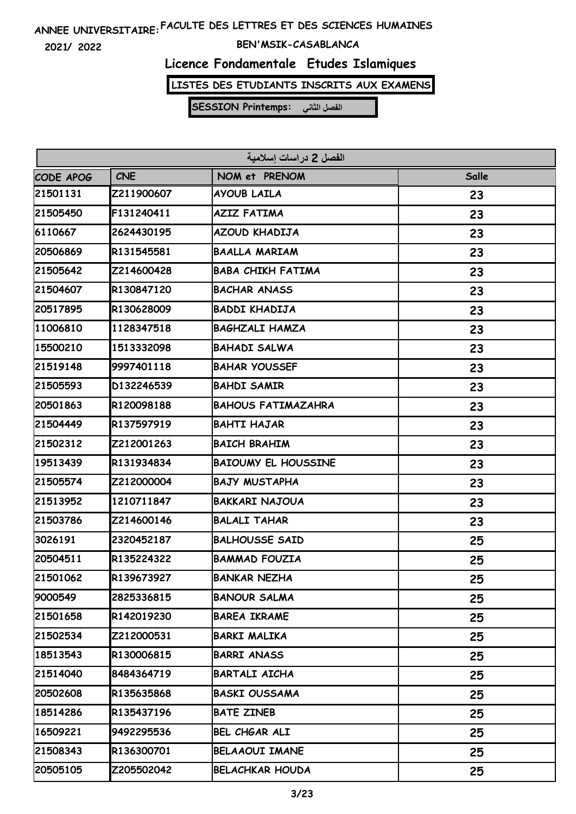**2021/ 2022**

### **BEN'MSIK-CASABLANCA**

### **Licence Fondamentale Etudes Islamiques**

**LISTES DES ETUDIANTS INSCRITS AUX EXAMENS**

| الفصل 2 در اسات اسلامية |            |                            |       |
|-------------------------|------------|----------------------------|-------|
| CODE APOG               | <b>CNE</b> | NOM et PRENOM              | Salle |
| 21501131                | Z211900607 | AYOUB LAILA                | 23    |
| 21505450                | F131240411 | <b>AZIZ FATIMA</b>         | 23    |
| 6110667                 | 2624430195 | AZOUD KHADIJA              | 23    |
| 20506869                | R131545581 | <b>BAALLA MARIAM</b>       | 23    |
| 21505642                | Z214600428 | <b>BABA CHIKH FATIMA</b>   | 23    |
| 21504607                | R130847120 | <b>BACHAR ANASS</b>        | 23    |
| 20517895                | R130628009 | <b>BADDI KHADIJA</b>       | 23    |
| 11006810                | 1128347518 | <b>BAGHZALI HAMZA</b>      | 23    |
| 15500210                | 1513332098 | <b>BAHADI SALWA</b>        | 23    |
| 21519148                | 9997401118 | <b>BAHAR YOUSSEF</b>       | 23    |
| 21505593                | D132246539 | <b>BAHDI SAMIR</b>         | 23    |
| 20501863                | R120098188 | <b>BAHOUS FATIMAZAHRA</b>  | 23    |
| 21504449                | R137597919 | <b>BAHTI HAJAR</b>         | 23    |
| 21502312                | Z212001263 | <b>BAICH BRAHIM</b>        | 23    |
| 19513439                | R131934834 | <b>BAIOUMY EL HOUSSINE</b> | 23    |
| 21505574                | Z212000004 | <b>BAJY MUSTAPHA</b>       | 23    |
| 21513952                | 1210711847 | <b>BAKKARI NAJOUA</b>      | 23    |
| 21503786                | Z214600146 | <b>BALALI TAHAR</b>        | 23    |
| 3026191                 | 2320452187 | <b>BALHOUSSE SAID</b>      | 25    |
| 20504511                | R135224322 | <b>BAMMAD FOUZIA</b>       | 25    |
| 21501062                | R139673927 | <b>BANKAR NEZHA</b>        | 25    |
| 9000549                 | 2825336815 | <b>BANOUR SALMA</b>        | 25    |
| 21501658                | R142019230 | <b>BAREA IKRAME</b>        | 25    |
| 21502534                | Z212000531 | <b>BARKI MALIKA</b>        | 25    |
| 18513543                | R130006815 | <b>BARRI ANASS</b>         | 25    |
| 21514040                | 8484364719 | <b>BARTALI AICHA</b>       | 25    |
| 20502608                | R135635868 | <b>BASKI OUSSAMA</b>       | 25    |
| 18514286                | R135437196 | <b>BATE ZINEB</b>          | 25    |
| 16509221                | 9492295536 | BEL CHGAR ALI              | 25    |
| 21508343                | R136300701 | <b>BELAAOUI IMANE</b>      | 25    |
| 20505105                | Z205502042 | <b>BELACHKAR HOUDA</b>     | 25    |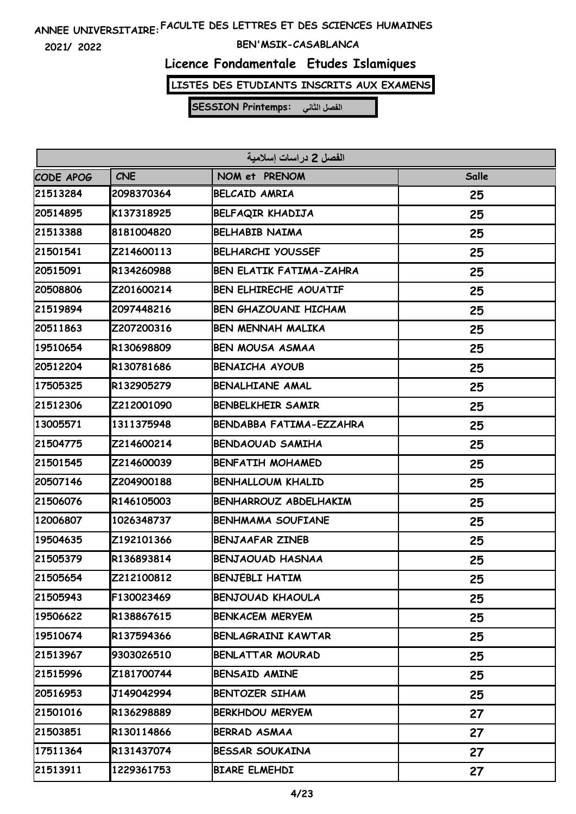**2021/ 2022**

### **BEN'MSIK-CASABLANCA**

### **Licence Fondamentale Etudes Islamiques**

**LISTES DES ETUDIANTS INSCRITS AUX EXAMENS**

| الفصل 2 دراسات إسلامية |            |                                |       |
|------------------------|------------|--------------------------------|-------|
| CODE APOG              | <b>CNE</b> | NOM et PRENOM                  | Salle |
| 21513284               | 2098370364 | <b>BELCAID AMRIA</b>           | 25    |
| 20514895               | K137318925 | BELFAQIR KHADIJA               | 25    |
| 21513388               | 8181004820 | <b>BELHABIB NAIMA</b>          | 25    |
| 21501541               | Z214600113 | <b>BELHARCHI YOUSSEF</b>       | 25    |
| 20515091               | R134260988 | <b>BEN ELATIK FATIMA-ZAHRA</b> | 25    |
| 20508806               | Z201600214 | <b>BEN ELHIRECHE AOUATIF</b>   | 25    |
| 21519894               | 2097448216 | <b>BEN GHAZOUANI HICHAM</b>    | 25    |
| 20511863               | Z207200316 | <b>BEN MENNAH MALIKA</b>       | 25    |
| 19510654               | R130698809 | <b>BEN MOUSA ASMAA</b>         | 25    |
| 20512204               | R130781686 | <b>BENAICHA AYOUB</b>          | 25    |
| 17505325               | R132905279 | <b>BENALHIANE AMAL</b>         | 25    |
| 21512306               | Z212001090 | <b>BENBELKHEIR SAMIR</b>       | 25    |
| 13005571               | 1311375948 | BENDABBA FATIMA-EZZAHRA        | 25    |
| 21504775               | Z214600214 | <b>BENDAOUAD SAMIHA</b>        | 25    |
| 21501545               | Z214600039 | <b>BENFATIH MOHAMED</b>        | 25    |
| 20507146               | Z204900188 | <b>BENHALLOUM KHALID</b>       | 25    |
| 21506076               | R146105003 | <b>BENHARROUZ ABDELHAKIM</b>   | 25    |
| 12006807               | 1026348737 | <b>BENHMAMA SOUFIANE</b>       | 25    |
| 19504635               | Z192101366 | <b>BENJAAFAR ZINEB</b>         | 25    |
| 21505379               | R136893814 | <b>BENJAOUAD HASNAA</b>        | 25    |
| 21505654               | Z212100812 | <b>BENJEBLI HATIM</b>          | 25    |
| 21505943               | F130023469 | <b>BENJOUAD KHAOULA</b>        | 25    |
| 19506622               | R138867615 | <b>BENKACEM MERYEM</b>         | 25    |
| 19510674               | R137594366 | <b>BENLAGRAINI KAWTAR</b>      | 25    |
| 21513967               | 9303026510 | <b>BENLATTAR MOURAD</b>        | 25    |
| 21515996               | Z181700744 | <b>BENSAID AMINE</b>           | 25    |
| 20516953               | J149042994 | BENTOZER SIHAM                 | 25    |
| 21501016               | R136298889 | <b>BERKHDOU MERYEM</b>         | 27    |
| 21503851               | R130114866 | BERRAD ASMAA                   | 27    |
| 17511364               | R131437074 | <b>BESSAR SOUKAINA</b>         | 27    |
| 21513911               | 1229361753 | <b>BIARE ELMEHDI</b>           | 27    |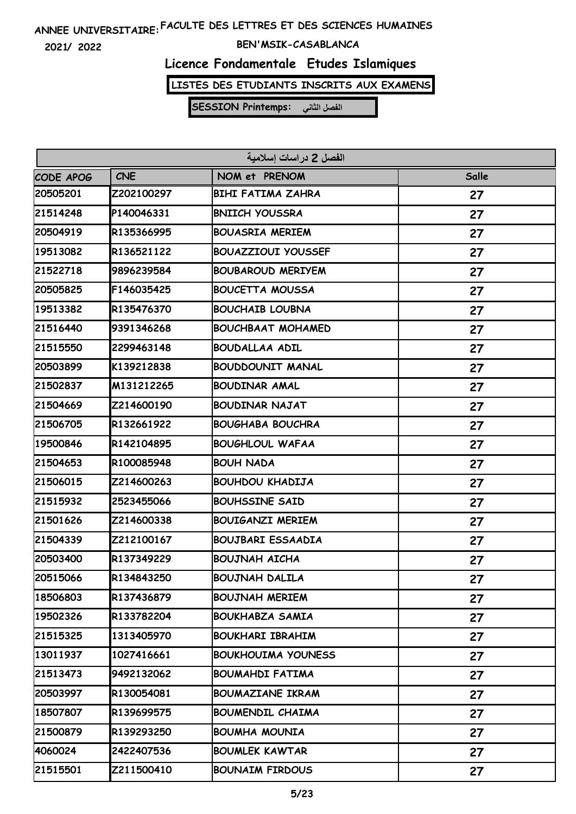**2021/ 2022**

#### **BEN'MSIK-CASABLANCA**

### **Licence Fondamentale Etudes Islamiques**

**LISTES DES ETUDIANTS INSCRITS AUX EXAMENS**

| الفصل 2 دراسات إسلامية |            |                           |       |
|------------------------|------------|---------------------------|-------|
| CODE APOG              | <b>CNE</b> | NOM et PRENOM             | Salle |
| 20505201               | Z202100297 | <b>BIHI FATIMA ZAHRA</b>  | 27    |
| 21514248               | P140046331 | <b>BNIICH YOUSSRA</b>     | 27    |
| 20504919               | R135366995 | <b>BOUASRIA MERIEM</b>    | 27    |
| 19513082               | R136521122 | <b>BOUAZZIOUI YOUSSEF</b> | 27    |
| 21522718               | 9896239584 | <b>BOUBAROUD MERIYEM</b>  | 27    |
| 20505825               | F146035425 | <b>BOUCETTA MOUSSA</b>    | 27    |
| 19513382               | R135476370 | <b>BOUCHAIB LOUBNA</b>    | 27    |
| 21516440               | 9391346268 | <b>BOUCHBAAT MOHAMED</b>  | 27    |
| 21515550               | 2299463148 | <b>BOUDALLAA ADIL</b>     | 27    |
| 20503899               | K139212838 | <b>BOUDDOUNIT MANAL</b>   | 27    |
| 21502837               | M131212265 | <b>BOUDINAR AMAL</b>      | 27    |
| 21504669               | Z214600190 | <b>BOUDINAR NAJAT</b>     | 27    |
| 21506705               | R132661922 | <b>BOUGHABA BOUCHRA</b>   | 27    |
| 19500846               | R142104895 | <b>BOUGHLOUL WAFAA</b>    | 27    |
| 21504653               | R100085948 | <b>BOUH NADA</b>          | 27    |
| 21506015               | Z214600263 | <b>BOUHDOU KHADIJA</b>    | 27    |
| 21515932               | 2523455066 | <b>BOUHSSINE SAID</b>     | 27    |
| 21501626               | Z214600338 | <b>BOUIGANZI MERIEM</b>   | 27    |
| 21504339               | Z212100167 | <b>BOUJBARI ESSAADIA</b>  | 27    |
| 20503400               | R137349229 | <b>BOUJNAH AICHA</b>      | 27    |
| 20515066               | R134843250 | <b>BOUJNAH DALILA</b>     | 27    |
| 18506803               | R137436879 | <b>BOUJNAH MERIEM</b>     | 27    |
| 19502326               | R133782204 | <b>BOUKHABZA SAMIA</b>    | 27    |
| 21515325               | 1313405970 | <b>BOUKHARI IBRAHIM</b>   | 27    |
| 13011937               | 1027416661 | <b>BOUKHOUIMA YOUNESS</b> | 27    |
| 21513473               | 9492132062 | <b>BOUMAHDI FATIMA</b>    | 27    |
| 20503997               | R130054081 | <b>BOUMAZIANE IKRAM</b>   | 27    |
| 18507807               | R139699575 | <b>BOUMENDIL CHAIMA</b>   | 27    |
| 21500879               | R139293250 | <b>BOUMHA MOUNIA</b>      | 27    |
| 4060024                | 2422407536 | <b>BOUMLEK KAWTAR</b>     | 27    |
| 21515501               | Z211500410 | <b>BOUNAIM FIRDOUS</b>    | 27    |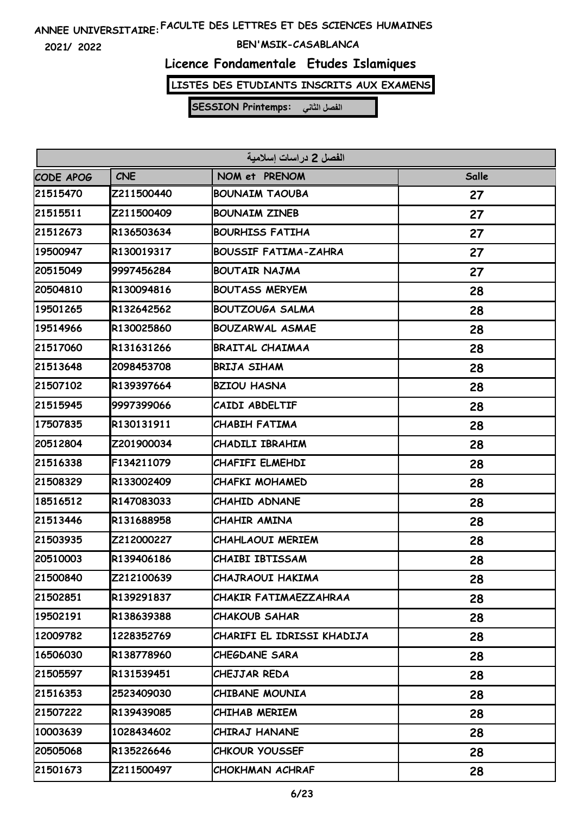**2021/ 2022**

### **BEN'MSIK-CASABLANCA**

# **Licence Fondamentale Etudes Islamiques**

**LISTES DES ETUDIANTS INSCRITS AUX EXAMENS**

| الفصل 2 دراسات إسلامية |            |                             |       |
|------------------------|------------|-----------------------------|-------|
| CODE APOG              | <b>CNE</b> | NOM et PRENOM               | Salle |
| 21515470               | Z211500440 | <b>BOUNAIM TAOUBA</b>       | 27    |
| 21515511               | Z211500409 | <b>BOUNAIM ZINEB</b>        | 27    |
| 21512673               | R136503634 | <b>BOURHISS FATIHA</b>      | 27    |
| 19500947               | R130019317 | <b>BOUSSIF FATIMA-ZAHRA</b> | 27    |
| 20515049               | 9997456284 | <b>BOUTAIR NAJMA</b>        | 27    |
| 20504810               | R130094816 | <b>BOUTASS MERYEM</b>       | 28    |
| 19501265               | R132642562 | <b>BOUTZOUGA SALMA</b>      | 28    |
| 19514966               | R130025860 | <b>BOUZARWAL ASMAE</b>      | 28    |
| 21517060               | R131631266 | <b>BRAITAL CHAIMAA</b>      | 28    |
| 21513648               | 2098453708 | <b>BRIJA SIHAM</b>          | 28    |
| 21507102               | R139397664 | <b>BZIOU HASNA</b>          | 28    |
| 21515945               | 9997399066 | CAIDI ABDELTIF              | 28    |
| 17507835               | R130131911 | <b>CHABIH FATIMA</b>        | 28    |
| 20512804               | Z201900034 | <b>CHADILI IBRAHIM</b>      | 28    |
| 21516338               | F134211079 | CHAFIFI ELMEHDI             | 28    |
| 21508329               | R133002409 | CHAFKI MOHAMED              | 28    |
| 18516512               | R147083033 | CHAHID ADNANE               | 28    |
| 21513446               | R131688958 | CHAHIR AMINA                | 28    |
| 21503935               | Z212000227 | <b>CHAHLAOUI MERIEM</b>     | 28    |
| 20510003               | R139406186 | <b>CHAIBI IBTISSAM</b>      | 28    |
| 21500840               | Z212100639 | CHAJRAOUI HAKIMA            | 28    |
| 21502851               | R139291837 | CHAKIR FATIMAEZZAHRAA       | 28    |
| 19502191               | R138639388 | <b>CHAKOUB SAHAR</b>        | 28    |
| 12009782               | 1228352769 | CHARIFI EL IDRISSI KHADIJA  | 28    |
| 16506030               | R138778960 | CHEGDANE SARA               | 28    |
| 21505597               | R131539451 | CHEJJAR REDA                | 28    |
| 21516353               | 2523409030 | CHIBANE MOUNIA              | 28    |
| 21507222               | R139439085 | CHIHAB MERIEM               | 28    |
| 10003639               | 1028434602 | CHIRAJ HANANE               | 28    |
| 20505068               | R135226646 | <b>CHKOUR YOUSSEF</b>       | 28    |
| 21501673               | Z211500497 | CHOKHMAN ACHRAF             | 28    |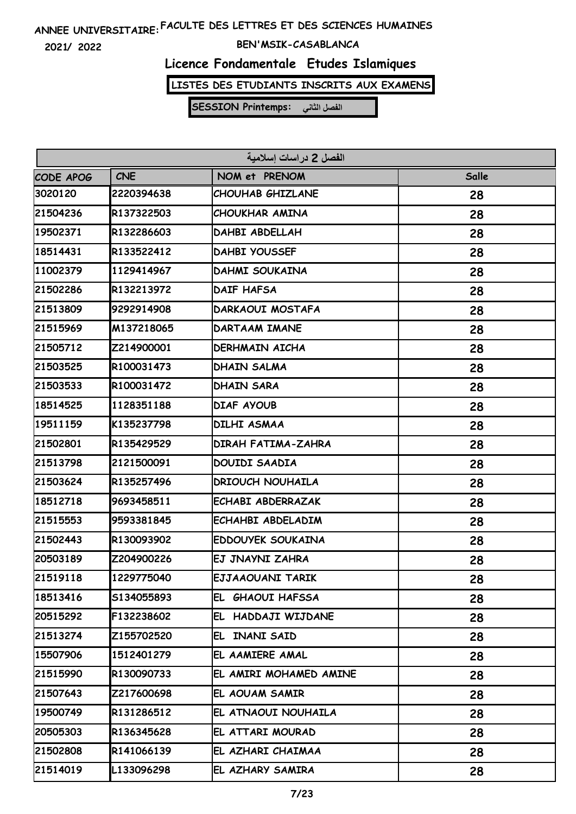**2021/ 2022**

#### **BEN'MSIK-CASABLANCA**

# **Licence Fondamentale Etudes Islamiques**

**LISTES DES ETUDIANTS INSCRITS AUX EXAMENS**

| الفصل 2 در اسات اسلامية |            |                           |       |
|-------------------------|------------|---------------------------|-------|
| CODE APOG               | <b>CNE</b> | NOM et PRENOM             | Salle |
| 3020120                 | 2220394638 | <b>CHOUHAB GHIZLANE</b>   | 28    |
| 21504236                | R137322503 | CHOUKHAR AMINA            | 28    |
| 19502371                | R132286603 | DAHBI ABDELLAH            | 28    |
| 18514431                | R133522412 | <b>DAHBI YOUSSEF</b>      | 28    |
| 11002379                | 1129414967 | DAHMI SOUKAINA            | 28    |
| 21502286                | R132213972 | <b>DAIF HAFSA</b>         | 28    |
| 21513809                | 9292914908 | DARKAOUI MOSTAFA          | 28    |
| 21515969                | M137218065 | <b>DARTAAM IMANE</b>      | 28    |
| 21505712                | Z214900001 | <b>DERHMAIN AICHA</b>     | 28    |
| 21503525                | R100031473 | DHAIN SALMA               | 28    |
| 21503533                | R100031472 | <b>DHAIN SARA</b>         | 28    |
| 18514525                | 1128351188 | DIAF AYOUB                | 28    |
| 19511159                | K135237798 | DILHI ASMAA               | 28    |
| 21502801                | R135429529 | <b>DIRAH FATIMA-ZAHRA</b> | 28    |
| 21513798                | 2121500091 | DOUIDI SAADIA             | 28    |
| 21503624                | R135257496 | <b>DRIOUCH NOUHAILA</b>   | 28    |
| 18512718                | 9693458511 | ECHABI ABDERRAZAK         | 28    |
| 21515553                | 9593381845 | ECHAHBI ABDELADIM         | 28    |
| 21502443                | R130093902 | EDDOUYEK SOUKAINA         | 28    |
| 20503189                | Z204900226 | EJ JNAYNI ZAHRA           | 28    |
| 21519118                | 1229775040 | EJJAAOUANI TARIK          | 28    |
| 18513416                | S134055893 | EL GHAOUI HAFSSA          | 28    |
| 20515292                | F132238602 | EL HADDAJI WIJDANE        | 28    |
| 21513274                | Z155702520 | EL INANI SAID             | 28    |
| 15507906                | 1512401279 | EL AAMIERE AMAL           | 28    |
| 21515990                | R130090733 | EL AMIRI MOHAMED AMINE    | 28    |
| 21507643                | Z217600698 | EL AOUAM SAMIR            | 28    |
| 19500749                | R131286512 | EL ATNAOUI NOUHAILA       | 28    |
| 20505303                | R136345628 | EL ATTARI MOURAD          | 28    |
| 21502808                | R141066139 | EL AZHARI CHAIMAA         | 28    |
| 21514019                | L133096298 | EL AZHARY SAMIRA          | 28    |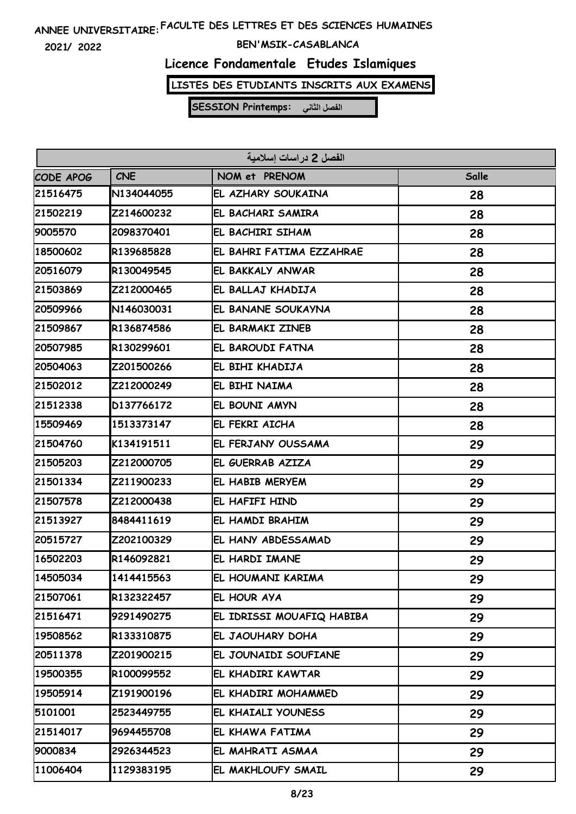**2021/ 2022**

### **BEN'MSIK-CASABLANCA**

# **Licence Fondamentale Etudes Islamiques**

**LISTES DES ETUDIANTS INSCRITS AUX EXAMENS**

| الفصل 2 در اسات اسلامية |            |                           |       |
|-------------------------|------------|---------------------------|-------|
| <b>CODE APOG</b>        | <b>CNE</b> | NOM et PRENOM             | Salle |
| 21516475                | N134044055 | EL AZHARY SOUKAINA        | 28    |
| 21502219                | Z214600232 | EL BACHARI SAMIRA         | 28    |
| 9005570                 | 2098370401 | EL BACHIRI SIHAM          | 28    |
| 18500602                | R139685828 | EL BAHRI FATIMA EZZAHRAE  | 28    |
| 20516079                | R130049545 | EL BAKKALY ANWAR          | 28    |
| 21503869                | Z212000465 | EL BALLAJ KHADIJA         | 28    |
| 20509966                | N146030031 | EL BANANE SOUKAYNA        | 28    |
| 21509867                | R136874586 | EL BARMAKI ZINEB          | 28    |
| 20507985                | R130299601 | EL BAROUDI FATNA          | 28    |
| 20504063                | Z201500266 | EL BIHI KHADIJA           | 28    |
| 21502012                | Z212000249 | EL BIHI NAIMA             | 28    |
| 21512338                | D137766172 | EL BOUNI AMYN             | 28    |
| 15509469                | 1513373147 | EL FEKRI AICHA            | 28    |
| 21504760                | K134191511 | EL FERJANY OUSSAMA        | 29    |
| 21505203                | Z212000705 | EL GUERRAB AZIZA          | 29    |
| 21501334                | Z211900233 | EL HABIB MERYEM           | 29    |
| 21507578                | Z212000438 | EL HAFIFI HIND            | 29    |
| 21513927                | 8484411619 | EL HAMDI BRAHIM           | 29    |
| 20515727                | Z202100329 | EL HANY ABDESSAMAD        | 29    |
| 16502203                | R146092821 | EL HARDI IMANE            | 29    |
| 14505034                | 1414415563 | EL HOUMANI KARIMA         | 29    |
| 21507061                | R132322457 | EL HOUR AYA               | 29    |
| 21516471                | 9291490275 | EL IDRISSI MOUAFIQ HABIBA | 29    |
| 19508562                | R133310875 | EL JAOUHARY DOHA          | 29    |
| 20511378                | Z201900215 | EL JOUNAIDI SOUFIANE      | 29    |
| 19500355                | R100099552 | EL KHADIRI KAWTAR         | 29    |
| 19505914                | Z191900196 | EL KHADIRI MOHAMMED       | 29    |
| 5101001                 | 2523449755 | EL KHAIALI YOUNESS        | 29    |
| 21514017                | 9694455708 | EL KHAWA FATIMA           | 29    |
| 9000834                 | 2926344523 | EL MAHRATI ASMAA          | 29    |
| 11006404                | 1129383195 | EL MAKHLOUFY SMAIL        | 29    |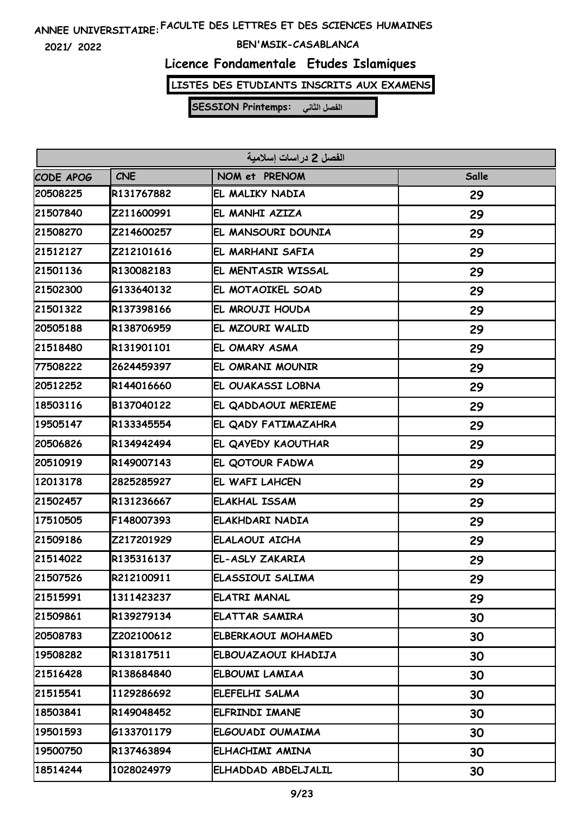**2021/ 2022**

#### **BEN'MSIK-CASABLANCA**

### **Licence Fondamentale Etudes Islamiques**

**LISTES DES ETUDIANTS INSCRITS AUX EXAMENS**

| الفصل 2 در اسات اسلامية |            |                       |       |
|-------------------------|------------|-----------------------|-------|
| CODE APOG               | <b>CNE</b> | NOM et PRENOM         | Salle |
| 20508225                | R131767882 | EL MALIKY NADIA       | 29    |
| 21507840                | Z211600991 | EL MANHI AZIZA        | 29    |
| 21508270                | Z214600257 | EL MANSOURI DOUNIA    | 29    |
| 21512127                | Z212101616 | EL MARHANI SAFIA      | 29    |
| 21501136                | R130082183 | EL MENTASIR WISSAL    | 29    |
| 21502300                | 6133640132 | EL MOTAOIKEL SOAD     | 29    |
| 21501322                | R137398166 | EL MROUJI HOUDA       | 29    |
| 20505188                | R138706959 | EL MZOURI WALID       | 29    |
| 21518480                | R131901101 | EL OMARY ASMA         | 29    |
| 77508222                | 2624459397 | EL OMRANI MOUNIR      | 29    |
| 20512252                | R144016660 | EL OUAKASSI LOBNA     | 29    |
| 18503116                | B137040122 | EL QADDAOUI MERIEME   | 29    |
| 19505147                | R133345554 | EL QADY FATIMAZAHRA   | 29    |
| 20506826                | R134942494 | EL QAYEDY KAOUTHAR    | 29    |
| 20510919                | R149007143 | EL QOTOUR FADWA       | 29    |
| 12013178                | 2825285927 | EL WAFI LAHCEN        | 29    |
| 21502457                | R131236667 | <b>ELAKHAL ISSAM</b>  | 29    |
| 17510505                | F148007393 | ELAKHDARI NADIA       | 29    |
| 21509186                | Z217201929 | ELALAOUI AICHA        | 29    |
| 21514022                | R135316137 | EL-ASLY ZAKARIA       | 29    |
| 21507526                | R212100911 | ELASSIOUI SALIMA      | 29    |
| 21515991                | 1311423237 | ELATRI MANAL          | 29    |
| 21509861                | R139279134 | <b>ELATTAR SAMIRA</b> | 30    |
| 20508783                | Z202100612 | ELBERKAOUI MOHAMED    | 30    |
| 19508282                | R131817511 | ELBOUAZAOUI KHADIJA   | 30    |
| 21516428                | R138684840 | <b>ELBOUMI LAMIAA</b> | 30    |
| 21515541                | 1129286692 | ELEFELHI SALMA        | 30    |
| 18503841                | R149048452 | ELFRINDI IMANE        | 30    |
| 19501593                | G133701179 | ELGOUADI OUMAIMA      | 30    |
| 19500750                | R137463894 | ELHACHIMI AMINA       | 30    |
| 18514244                | 1028024979 | ELHADDAD ABDELJALIL   | 30    |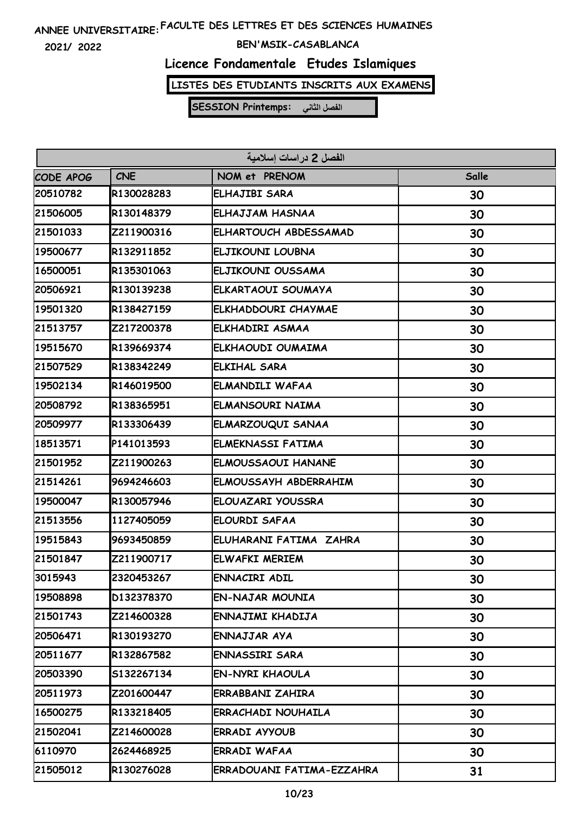**2021/ 2022**

### **BEN'MSIK-CASABLANCA**

# **Licence Fondamentale Etudes Islamiques**

**LISTES DES ETUDIANTS INSCRITS AUX EXAMENS**

| الفصل 2 در اسات اسلامية |            |                           |       |
|-------------------------|------------|---------------------------|-------|
| CODE APOG               | <b>CNE</b> | NOM et PRENOM             | Salle |
| 20510782                | R130028283 | ELHAJIBI SARA             | 30    |
| 21506005                | R130148379 | ELHAJJAM HASNAA           | 30    |
| 21501033                | Z211900316 | ELHARTOUCH ABDESSAMAD     | 30    |
| 19500677                | R132911852 | ELJIKOUNI LOUBNA          | 30    |
| 16500051                | R135301063 | ELJIKOUNI OUSSAMA         | 30    |
| 20506921                | R130139238 | ELKARTAOUI SOUMAYA        | 30    |
| 19501320                | R138427159 | ELKHADDOURI CHAYMAE       | 30    |
| 21513757                | Z217200378 | ELKHADIRI ASMAA           | 30    |
| 19515670                | R139669374 | ELKHAOUDI OUMAIMA         | 30    |
| 21507529                | R138342249 | <b>ELKIHAL SARA</b>       | 30    |
| 19502134                | R146019500 | ELMANDILI WAFAA           | 30    |
| 20508792                | R138365951 | ELMANSOURI NAIMA          | 30    |
| 20509977                | R133306439 | ELMARZOUQUI SANAA         | 30    |
| 18513571                | P141013593 | <b>ELMEKNASSI FATIMA</b>  | 30    |
| 21501952                | Z211900263 | <b>ELMOUSSAOUI HANANE</b> | 30    |
| 21514261                | 9694246603 | ELMOUSSAYH ABDERRAHIM     | 30    |
| 19500047                | R130057946 | ELOUAZARI YOUSSRA         | 30    |
| 21513556                | 1127405059 | <b>ELOURDI SAFAA</b>      | 30    |
| 19515843                | 9693450859 | ELUHARANI FATIMA ZAHRA    | 30    |
| 21501847                | Z211900717 | <b>ELWAFKI MERIEM</b>     | 30    |
| 3015943                 | 2320453267 | <b>ENNACIRI ADIL</b>      | 30    |
| 19508898                | D132378370 | <b>EN-NAJAR MOUNIA</b>    | 30    |
| 21501743                | Z214600328 | ENNAJIMI KHADIJA          | 30    |
| 20506471                | R130193270 | ENNAJJAR AYA              | 30    |
| 20511677                | R132867582 | ENNASSIRI SARA            | 30    |
| 20503390                | S132267134 | <b>EN-NYRI KHAOULA</b>    | 30    |
| 20511973                | Z201600447 | ERRABBANI ZAHIRA          | 30    |
| 16500275                | R133218405 | <b>ERRACHADI NOUHAILA</b> | 30    |
| 21502041                | Z214600028 | <b>ERRADI AYYOUB</b>      | 30    |
| 6110970                 | 2624468925 | ERRADI WAFAA              | 30    |
| 21505012                | R130276028 | ERRADOUANI FATIMA-EZZAHRA | 31    |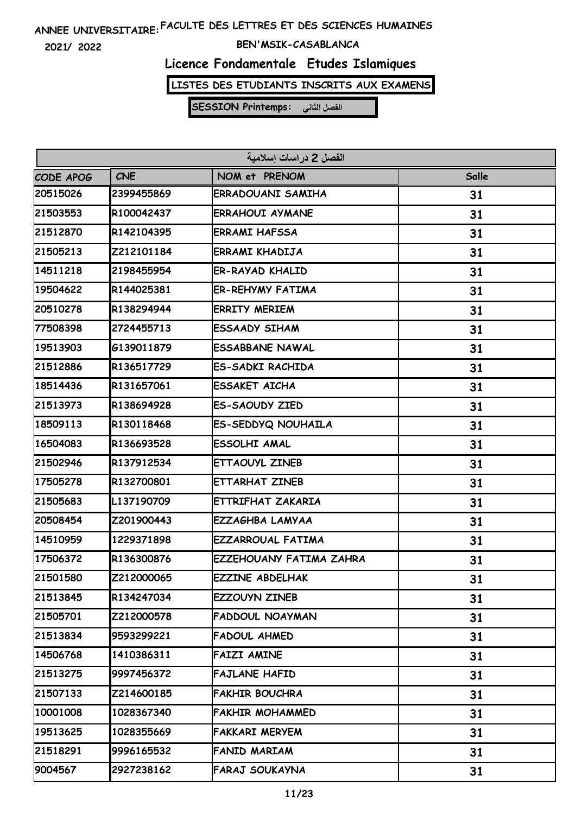**2021/ 2022**

### **BEN'MSIK-CASABLANCA**

# **Licence Fondamentale Etudes Islamiques**

**LISTES DES ETUDIANTS INSCRITS AUX EXAMENS**

| الفصل 2 در اسات اسلامية |            |                          |       |
|-------------------------|------------|--------------------------|-------|
| CODE APOG               | CNE        | NOM et PRENOM            | Salle |
| 20515026                | 2399455869 | <b>ERRADOUANI SAMIHA</b> | 31    |
| 21503553                | R100042437 | <b>ERRAHOUI AYMANE</b>   | 31    |
| 21512870                | R142104395 | <b>ERRAMI HAFSSA</b>     | 31    |
| 21505213                | Z212101184 | <b>ERRAMI KHADIJA</b>    | 31    |
| 14511218                | 2198455954 | <b>ER-RAYAD KHALID</b>   | 31    |
| 19504622                | R144025381 | <b>ER-REHYMY FATIMA</b>  | 31    |
| 20510278                | R138294944 | <b>ERRITY MERIEM</b>     | 31    |
| 77508398                | 2724455713 | <b>ESSAADY SIHAM</b>     | 31    |
| 19513903                | G139011879 | <b>ESSABBANE NAWAL</b>   | 31    |
| 21512886                | R136517729 | <b>ES-SADKI RACHIDA</b>  | 31    |
| 18514436                | R131657061 | <b>ESSAKET AICHA</b>     | 31    |
| 21513973                | R138694928 | <b>ES-SAOUDY ZIED</b>    | 31    |
| 18509113                | R130118468 | ES-SEDDYQ NOUHAILA       | 31    |
| 16504083                | R136693528 | ESSOLHI AMAL             | 31    |
| 21502946                | R137912534 | ETTAOUYL ZINEB           | 31    |
| 17505278                | R132700801 | ETTARHAT ZINEB           | 31    |
| 21505683                | L137190709 | ETTRIFHAT ZAKARIA        | 31    |
| 20508454                | Z201900443 | EZZAGHBA LAMYAA          | 31    |
| 14510959                | 1229371898 | <b>EZZARROUAL FATIMA</b> | 31    |
| 17506372                | R136300876 | EZZEHOUANY FATIMA ZAHRA  | 31    |
| 21501580                | Z212000065 | <b>EZZINE ABDELHAK</b>   | 31    |
| 21513845                | R134247034 | EZZOUYN ZINEB            | 31    |
| 21505701                | Z212000578 | <b>FADDOUL NOAYMAN</b>   | 31    |
| 21513834                | 9593299221 | <b>FADOUL AHMED</b>      | 31    |
| 14506768                | 1410386311 | <b>FAIZI AMINE</b>       | 31    |
| 21513275                | 9997456372 | <b>FAJLANE HAFID</b>     | 31    |
| 21507133                | Z214600185 | <b>FAKHIR BOUCHRA</b>    | 31    |
| 10001008                | 1028367340 | <b>FAKHIR MOHAMMED</b>   | 31    |
| 19513625                | 1028355669 | <b>FAKKARI MERYEM</b>    | 31    |
| 21518291                | 9996165532 | FANID MARIAM             | 31    |
| 9004567                 | 2927238162 | FARAJ SOUKAYNA           | 31    |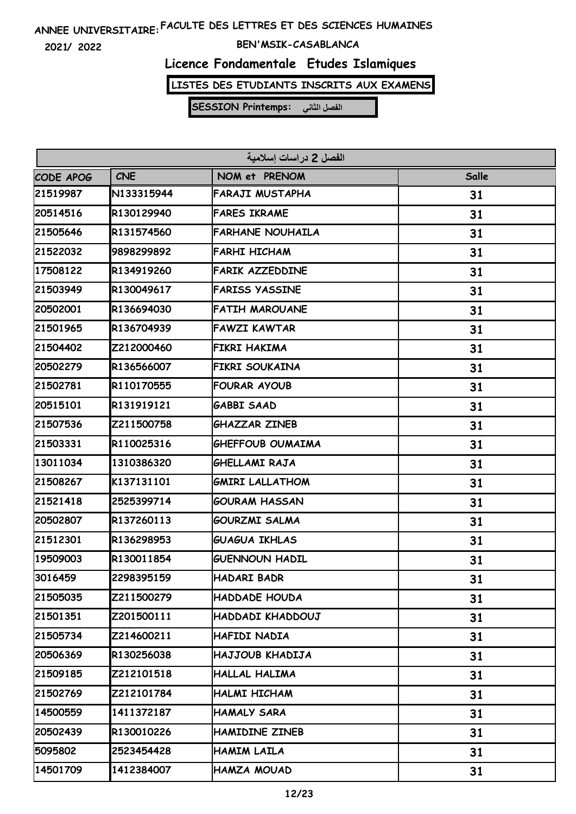**2021/ 2022**

#### **BEN'MSIK-CASABLANCA**

# **Licence Fondamentale Etudes Islamiques**

**LISTES DES ETUDIANTS INSCRITS AUX EXAMENS**

| الفصل 2 در اسات اسلامية |            |                         |       |
|-------------------------|------------|-------------------------|-------|
| CODE APOG               | <b>CNE</b> | NOM et PRENOM           | Salle |
| 21519987                | N133315944 | FARAJI MUSTAPHA         | 31    |
| 20514516                | R130129940 | <b>FARES IKRAME</b>     | 31    |
| 21505646                | R131574560 | <b>FARHANE NOUHAILA</b> | 31    |
| 21522032                | 9898299892 | <b>FARHI HICHAM</b>     | 31    |
| 17508122                | R134919260 | <b>FARIK AZZEDDINE</b>  | 31    |
| 21503949                | R130049617 | <b>FARISS YASSINE</b>   | 31    |
| 20502001                | R136694030 | <b>FATIH MAROUANE</b>   | 31    |
| 21501965                | R136704939 | <b>FAWZI KAWTAR</b>     | 31    |
| 21504402                | Z212000460 | FIKRI HAKIMA            | 31    |
| 20502279                | R136566007 | FIKRI SOUKAINA          | 31    |
| 21502781                | R110170555 | <b>FOURAR AYOUB</b>     | 31    |
| 20515101                | R131919121 | <b>GABBI SAAD</b>       | 31    |
| 21507536                | Z211500758 | <b>GHAZZAR ZINEB</b>    | 31    |
| 21503331                | R110025316 | <b>GHEFFOUB OUMAIMA</b> | 31    |
| 13011034                | 1310386320 | GHELLAMI RAJA           | 31    |
| 21508267                | K137131101 | <b>GMIRI LALLATHOM</b>  | 31    |
| 21521418                | 2525399714 | <b>GOURAM HASSAN</b>    | 31    |
| 20502807                | R137260113 | <b>GOURZMI SALMA</b>    | 31    |
| 21512301                | R136298953 | <b>GUAGUA IKHLAS</b>    | 31    |
| 19509003                | R130011854 | <b>GUENNOUN HADIL</b>   | 31    |
| 3016459                 | 2298395159 | HADARI BADR             | 31    |
| 21505035                | Z211500279 | <b>HADDADE HOUDA</b>    | 31    |
| 21501351                | Z201500111 | HADDADI KHADDOUJ        | 31    |
| 21505734                | Z214600211 | HAFIDI NADIA            | 31    |
| 20506369                | R130256038 | HAJJOUB KHADIJA         | 31    |
| 21509185                | Z212101518 | <b>HALLAL HALIMA</b>    | 31    |
| 21502769                | Z212101784 | HALMI HICHAM            | 31    |
| 14500559                | 1411372187 | <b>HAMALY SARA</b>      | 31    |
| 20502439                | R130010226 | HAMIDINE ZINEB          | 31    |
| 5095802                 | 2523454428 | HAMIM LAILA             | 31    |
| 14501709                | 1412384007 | HAMZA MOUAD             | 31    |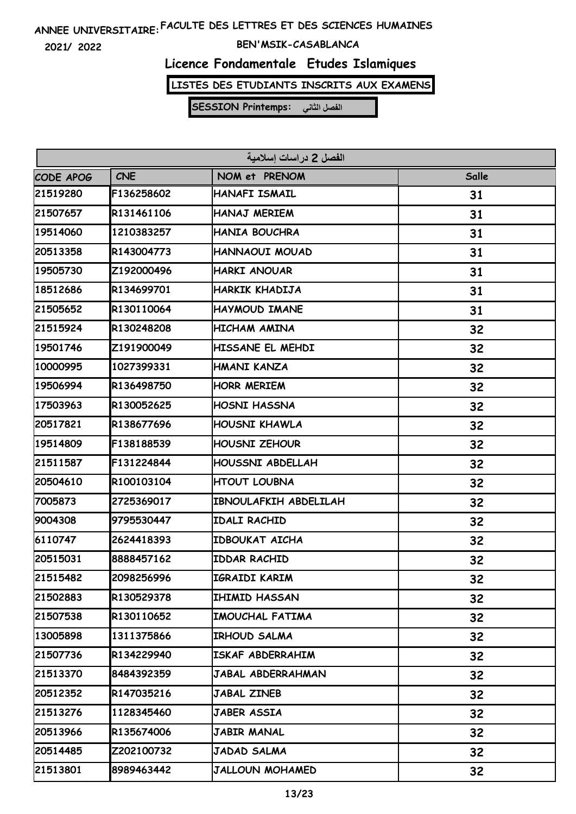**2021/ 2022**

#### **BEN'MSIK-CASABLANCA**

# **Licence Fondamentale Etudes Islamiques**

**LISTES DES ETUDIANTS INSCRITS AUX EXAMENS**

| الفصل 2 در اسات اسلامية |            |                        |       |  |
|-------------------------|------------|------------------------|-------|--|
| CODE APOG               | <b>CNE</b> | NOM et PRENOM          | Salle |  |
| 21519280                | F136258602 | HANAFI ISMAIL          | 31    |  |
| 21507657                | R131461106 | HANAJ MERIEM           | 31    |  |
| 19514060                | 1210383257 | <b>HANIA BOUCHRA</b>   | 31    |  |
| 20513358                | R143004773 | HANNAOUI MOUAD         | 31    |  |
| 19505730                | Z192000496 | <b>HARKI ANOUAR</b>    | 31    |  |
| 18512686                | R134699701 | HARKIK KHADIJA         | 31    |  |
| 21505652                | R130110064 | HAYMOUD IMANE          | 31    |  |
| 21515924                | R130248208 | HICHAM AMINA           | 32    |  |
| 19501746                | Z191900049 | HISSANE EL MEHDI       | 32    |  |
| 10000995                | 1027399331 | HMANI KANZA            | 32    |  |
| 19506994                | R136498750 | <b>HORR MERIEM</b>     | 32    |  |
| 17503963                | R130052625 | <b>HOSNI HASSNA</b>    | 32    |  |
| 20517821                | R138677696 | HOUSNI KHAWLA          | 32    |  |
| 19514809                | F138188539 | <b>HOUSNI ZEHOUR</b>   | 32    |  |
| 21511587                | F131224844 | HOUSSNI ABDELLAH       | 32    |  |
| 20504610                | R100103104 | <b>HTOUT LOUBNA</b>    | 32    |  |
| 7005873                 | 2725369017 | IBNOULAFKIH ABDELILAH  | 32    |  |
| 9004308                 | 9795530447 | <b>IDALI RACHID</b>    | 32    |  |
| 6110747                 | 2624418393 | <b>IDBOUKAT AICHA</b>  | 32    |  |
| 20515031                | 8888457162 | <b>IDDAR RACHID</b>    | 32    |  |
| 21515482                | 2098256996 | IGRAIDI KARIM          | 32    |  |
| 21502883                | R130529378 | <b>IHIMID HASSAN</b>   | 32    |  |
| 21507538                | R130110652 | IMOUCHAL FATIMA        | 32    |  |
| 13005898                | 1311375866 | IRHOUD SALMA           | 32    |  |
| 21507736                | R134229940 | ISKAF ABDERRAHIM       | 32    |  |
| 21513370                | 8484392359 | JABAL ABDERRAHMAN      | 32    |  |
| 20512352                | R147035216 | <b>JABAL ZINEB</b>     | 32    |  |
| 21513276                | 1128345460 | JABER ASSIA            | 32    |  |
| 20513966                | R135674006 | JABIR MANAL            | 32    |  |
| 20514485                | Z202100732 | JADAD SALMA            | 32    |  |
| 21513801                | 8989463442 | <b>JALLOUN MOHAMED</b> | 32    |  |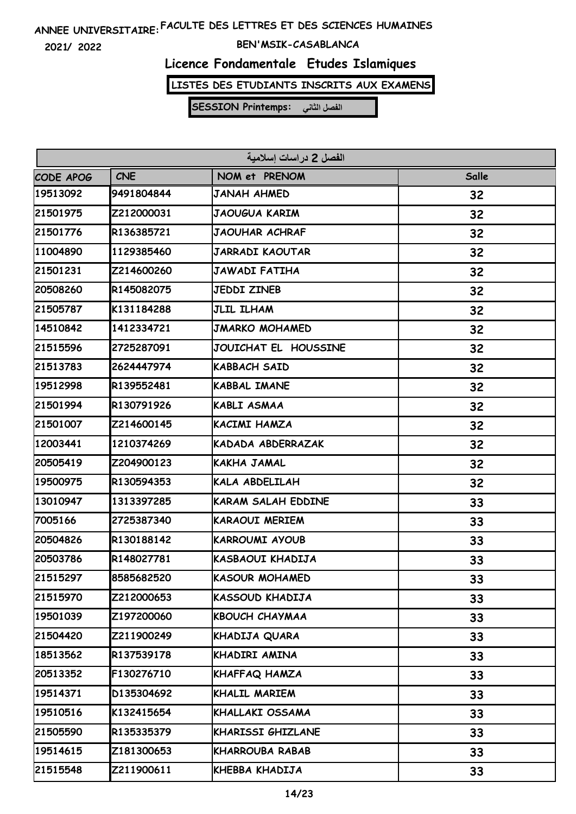**2021/ 2022**

### **BEN'MSIK-CASABLANCA**

# **Licence Fondamentale Etudes Islamiques**

**LISTES DES ETUDIANTS INSCRITS AUX EXAMENS**

| الفصل 2 دراسات إسلامية |            |                           |       |  |
|------------------------|------------|---------------------------|-------|--|
| CODE APOG              | <b>CNE</b> | NOM et PRENOM             | Salle |  |
| 19513092               | 9491804844 | <b>JANAH AHMED</b>        | 32    |  |
| 21501975               | Z212000031 | <b>JAOUGUA KARIM</b>      | 32    |  |
| 21501776               | R136385721 | JAOUHAR ACHRAF            | 32    |  |
| 11004890               | 1129385460 | <b>JARRADI KAOUTAR</b>    | 32    |  |
| 21501231               | Z214600260 | <b>JAWADI FATIHA</b>      | 32    |  |
| 20508260               | R145082075 | <b>JEDDI ZINEB</b>        | 32    |  |
| 21505787               | K131184288 | JLIL ILHAM                | 32    |  |
| 14510842               | 1412334721 | <b>JMARKO MOHAMED</b>     | 32    |  |
| 21515596               | 2725287091 | JOUICHAT EL HOUSSINE      | 32    |  |
| 21513783               | 2624447974 | <b>KABBACH SAID</b>       | 32    |  |
| 19512998               | R139552481 | <b>KABBAL IMANE</b>       | 32    |  |
| 21501994               | R130791926 | <b>KABLI ASMAA</b>        | 32    |  |
| 21501007               | Z214600145 | KACIMI HAMZA              | 32    |  |
| 12003441               | 1210374269 | KADADA ABDERRAZAK         | 32    |  |
| 20505419               | Z204900123 | <b>KAKHA JAMAL</b>        | 32    |  |
| 19500975               | R130594353 | KALA ABDELILAH            | 32    |  |
| 13010947               | 1313397285 | <b>KARAM SALAH EDDINE</b> | 33    |  |
| 7005166                | 2725387340 | <b>KARAOUI MERIEM</b>     | 33    |  |
| 20504826               | R130188142 | <b>KARROUMI AYOUB</b>     | 33    |  |
| 20503786               | R148027781 | KASBAOUI KHADIJA          | 33    |  |
| 21515297               | 8585682520 | <b>KASOUR MOHAMED</b>     | 33    |  |
| 21515970               | Z212000653 | KASSOUD KHADIJA           | 33    |  |
| 19501039               | Z197200060 | <b>KBOUCH CHAYMAA</b>     | 33    |  |
| 21504420               | Z211900249 | KHADIJA QUARA             | 33    |  |
| 18513562               | R137539178 | KHADIRI AMINA             | 33    |  |
| 20513352               | F130276710 | KHAFFAQ HAMZA             | 33    |  |
| 19514371               | D135304692 | KHALIL MARIEM             | 33    |  |
| 19510516               | K132415654 | KHALLAKI OSSAMA           | 33    |  |
| 21505590               | R135335379 | KHARISSI GHIZLANE         | 33    |  |
| 19514615               | Z181300653 | <b>KHARROUBA RABAB</b>    | 33    |  |
| 21515548               | Z211900611 | KHEBBA KHADIJA            | 33    |  |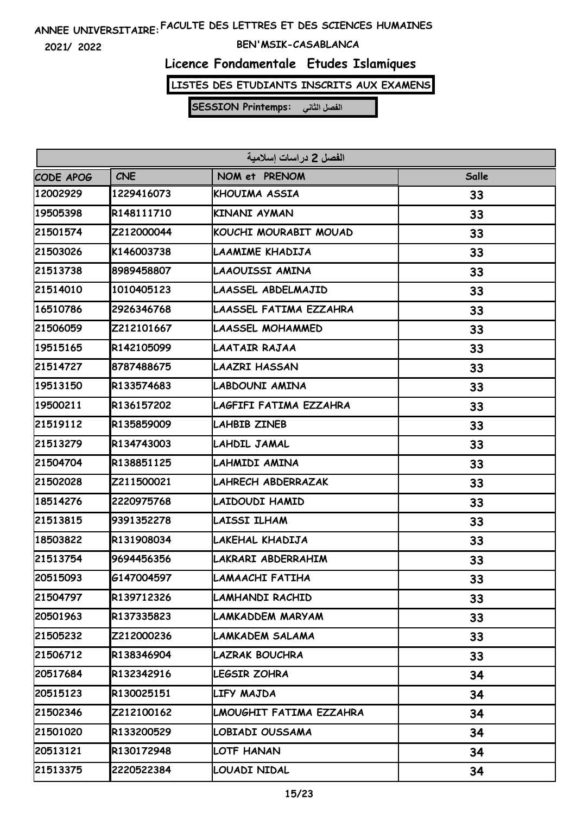**2021/ 2022**

### **BEN'MSIK-CASABLANCA**

# **Licence Fondamentale Etudes Islamiques**

**LISTES DES ETUDIANTS INSCRITS AUX EXAMENS**

| الفصل 2 در اسات اسلامية |            |                         |       |  |
|-------------------------|------------|-------------------------|-------|--|
| <b>CODE APOG</b>        | <b>CNE</b> | NOM et PRENOM           | Salle |  |
| 12002929                | 1229416073 | KHOUIMA ASSIA           | 33    |  |
| 19505398                | R148111710 | <b>KINANI AYMAN</b>     | 33    |  |
| 21501574                | Z212000044 | KOUCHI MOURABIT MOUAD   | 33    |  |
| 21503026                | K146003738 | LAAMIME KHADIJA         | 33    |  |
| 21513738                | 8989458807 | LAAOUISSI AMINA         | 33    |  |
| 21514010                | 1010405123 | LAASSEL ABDELMAJID      | 33    |  |
| 16510786                | 2926346768 | LAASSEL FATIMA EZZAHRA  | 33    |  |
| 21506059                | Z212101667 | LAASSEL MOHAMMED        | 33    |  |
| 19515165                | R142105099 | LAATAIR RAJAA           | 33    |  |
| 21514727                | 8787488675 | <b>LAAZRI HASSAN</b>    | 33    |  |
| 19513150                | R133574683 | LABDOUNI AMINA          | 33    |  |
| 19500211                | R136157202 | LAGFIFI FATIMA EZZAHRA  | 33    |  |
| 21519112                | R135859009 | LAHBIB ZINEB            | 33    |  |
| 21513279                | R134743003 | LAHDIL JAMAL            | 33    |  |
| 21504704                | R138851125 | LAHMIDI AMINA           | 33    |  |
| 21502028                | Z211500021 | LAHRECH ABDERRAZAK      | 33    |  |
| 18514276                | 2220975768 | LAIDOUDI HAMID          | 33    |  |
| 21513815                | 9391352278 | <b>LAISSI ILHAM</b>     | 33    |  |
| 18503822                | R131908034 | LAKEHAL KHADIJA         | 33    |  |
| 21513754                | 9694456356 | LAKRARI ABDERRAHIM      | 33    |  |
| 20515093                | G147004597 | LAMAACHI FATIHA         | 33    |  |
| 21504797                | R139712326 | LAMHANDI RACHID         | 33    |  |
| 20501963                | R137335823 | LAMKADDEM MARYAM        | 33    |  |
| 21505232                | Z212000236 | LAMKADEM SALAMA         | 33    |  |
| 21506712                | R138346904 | <b>LAZRAK BOUCHRA</b>   | 33    |  |
| 20517684                | R132342916 | LEGSIR ZOHRA            | 34    |  |
| 20515123                | R130025151 | LIFY MAJDA              | 34    |  |
| 21502346                | Z212100162 | LMOUGHIT FATIMA EZZAHRA | 34    |  |
| 21501020                | R133200529 | LOBIADI OUSSAMA         | 34    |  |
| 20513121                | R130172948 | LOTF HANAN              | 34    |  |
| 21513375                | 2220522384 | LOUADI NIDAL            | 34    |  |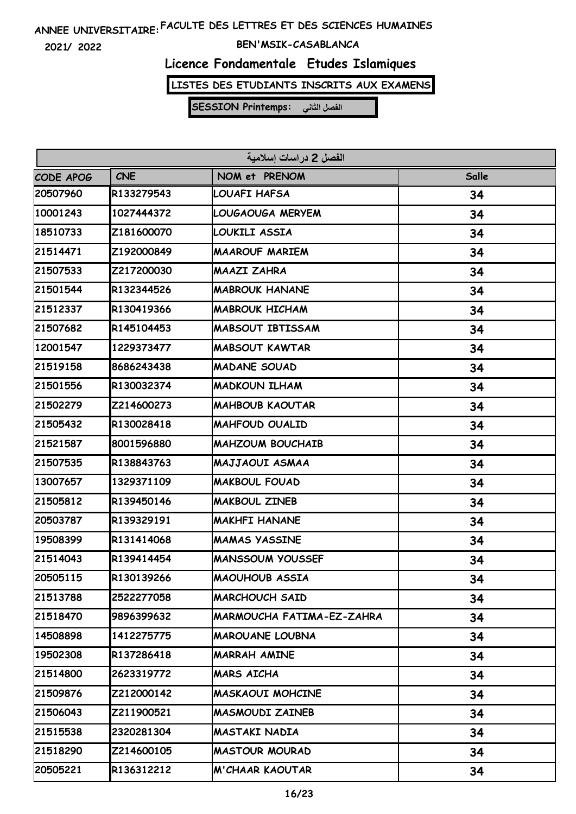**2021/ 2022**

### **BEN'MSIK-CASABLANCA**

# **Licence Fondamentale Etudes Islamiques**

**LISTES DES ETUDIANTS INSCRITS AUX EXAMENS**

| الفصل 2 در اسات اسلامية |            |                           |       |  |
|-------------------------|------------|---------------------------|-------|--|
| CODE APOG               | <b>CNE</b> | NOM et PRENOM             | Salle |  |
| 20507960                | R133279543 | LOUAFI HAFSA              | 34    |  |
| 10001243                | 1027444372 | LOUGAOUGA MERYEM          | 34    |  |
| 18510733                | Z181600070 | LOUKILI ASSIA             | 34    |  |
| 21514471                | Z192000849 | <b>MAAROUF MARIEM</b>     | 34    |  |
| 21507533                | Z217200030 | <b>MAAZI ZAHRA</b>        | 34    |  |
| 21501544                | R132344526 | <b>MABROUK HANANE</b>     | 34    |  |
| 21512337                | R130419366 | <b>MABROUK HICHAM</b>     | 34    |  |
| 21507682                | R145104453 | <b>MABSOUT IBTISSAM</b>   | 34    |  |
| 12001547                | 1229373477 | <b>MABSOUT KAWTAR</b>     | 34    |  |
| 21519158                | 8686243438 | <b>MADANE SOUAD</b>       | 34    |  |
| 21501556                | R130032374 | <b>MADKOUN ILHAM</b>      | 34    |  |
| 21502279                | Z214600273 | <b>MAHBOUB KAOUTAR</b>    | 34    |  |
| 21505432                | R130028418 | <b>MAHFOUD OUALID</b>     | 34    |  |
| 21521587                | 8001596880 | <b>MAHZOUM BOUCHAIB</b>   | 34    |  |
| 21507535                | R138843763 | <b>MAJJAOUI ASMAA</b>     | 34    |  |
| 13007657                | 1329371109 | <b>MAKBOUL FOUAD</b>      | 34    |  |
| 21505812                | R139450146 | <b>MAKBOUL ZINEB</b>      | 34    |  |
| 20503787                | R139329191 | <b>MAKHFI HANANE</b>      | 34    |  |
| 19508399                | R131414068 | <b>MAMAS YASSINE</b>      | 34    |  |
| 21514043                | R139414454 | <b>MANSSOUM YOUSSEF</b>   | 34    |  |
| 20505115                | R130139266 | <b>MAOUHOUB ASSIA</b>     | 34    |  |
| 21513788                | 2522277058 | <b>MARCHOUCH SAID</b>     | 34    |  |
| 21518470                | 9896399632 | MARMOUCHA FATIMA-EZ-ZAHRA | 34    |  |
| 14508898                | 1412275775 | <b>MAROUANE LOUBNA</b>    | 34    |  |
| 19502308                | R137286418 | <b>MARRAH AMINE</b>       | 34    |  |
| 21514800                | 2623319772 | MARS AICHA                | 34    |  |
| 21509876                | Z212000142 | <b>MASKAOUI MOHCINE</b>   | 34    |  |
| 21506043                | Z211900521 | <b>MASMOUDI ZAINEB</b>    | 34    |  |
| 21515538                | 2320281304 | <b>MASTAKI NADIA</b>      | 34    |  |
| 21518290                | Z214600105 | <b>MASTOUR MOURAD</b>     | 34    |  |
| 20505221                | R136312212 | M'CHAAR KAOUTAR           | 34    |  |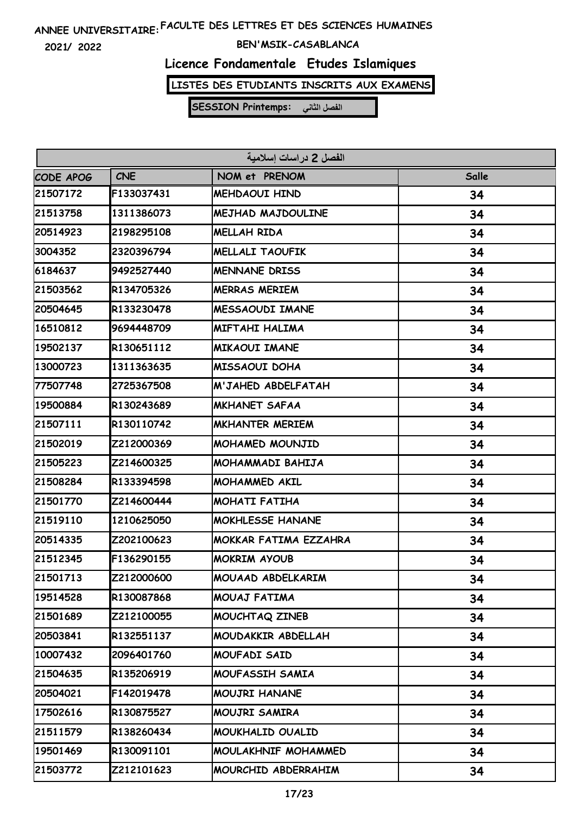**2021/ 2022**

### **BEN'MSIK-CASABLANCA**

### **Licence Fondamentale Etudes Islamiques**

**LISTES DES ETUDIANTS INSCRITS AUX EXAMENS**

| الفصل 2 در اسات اسلامية |            |                              |       |  |
|-------------------------|------------|------------------------------|-------|--|
| CODE APOG               | <b>CNE</b> | NOM et PRENOM                | Salle |  |
| 21507172                | F133037431 | <b>MEHDAOUI HIND</b>         | 34    |  |
| 21513758                | 1311386073 | <b>MEJHAD MAJDOULINE</b>     | 34    |  |
| 20514923                | 2198295108 | MELLAH RIDA                  | 34    |  |
| 3004352                 | 2320396794 | <b>MELLALI TAOUFIK</b>       | 34    |  |
| 6184637                 | 9492527440 | <b>MENNANE DRISS</b>         | 34    |  |
| 21503562                | R134705326 | <b>MERRAS MERIEM</b>         | 34    |  |
| 20504645                | R133230478 | <b>MESSAOUDI IMANE</b>       | 34    |  |
| 16510812                | 9694448709 | MIFTAHI HALIMA               | 34    |  |
| 19502137                | R130651112 | <b>MIKAOUI IMANE</b>         | 34    |  |
| 13000723                | 1311363635 | <b>MISSAOUI DOHA</b>         | 34    |  |
| 77507748                | 2725367508 | M'JAHED ABDELFATAH           | 34    |  |
| 19500884                | R130243689 | <b>MKHANET SAFAA</b>         | 34    |  |
| 21507111                | R130110742 | <b>MKHANTER MERIEM</b>       | 34    |  |
| 21502019                | Z212000369 | <b>MOHAMED MOUNJID</b>       | 34    |  |
| 21505223                | Z214600325 | MOHAMMADI BAHIJA             | 34    |  |
| 21508284                | R133394598 | <b>MOHAMMED AKIL</b>         | 34    |  |
| 21501770                | Z214600444 | <b>MOHATI FATIHA</b>         | 34    |  |
| 21519110                | 1210625050 | <b>MOKHLESSE HANANE</b>      | 34    |  |
| 20514335                | Z202100623 | <b>MOKKAR FATIMA EZZAHRA</b> | 34    |  |
| 21512345                | F136290155 | <b>MOKRIM AYOUB</b>          | 34    |  |
| 21501713                | Z212000600 | MOUAAD ABDELKARIM            | 34    |  |
| 19514528                | R130087868 | MOUAJ FATIMA                 | 34    |  |
| 21501689                | Z212100055 | MOUCHTAQ ZINEB               | 34    |  |
| 20503841                | R132551137 | MOUDAKKIR ABDELLAH           | 34    |  |
| 10007432                | 2096401760 | <b>MOUFADI SAID</b>          | 34    |  |
| 21504635                | R135206919 | MOUFASSIH SAMIA              | 34    |  |
| 20504021                | F142019478 | <b>MOUJRI HANANE</b>         | 34    |  |
| 17502616                | R130875527 | MOUJRI SAMIRA                | 34    |  |
| 21511579                | R138260434 | MOUKHALID OUALID             | 34    |  |
| 19501469                | R130091101 | MOULAKHNIF MOHAMMED          | 34    |  |
| 21503772                | Z212101623 | MOURCHID ABDERRAHIM          | 34    |  |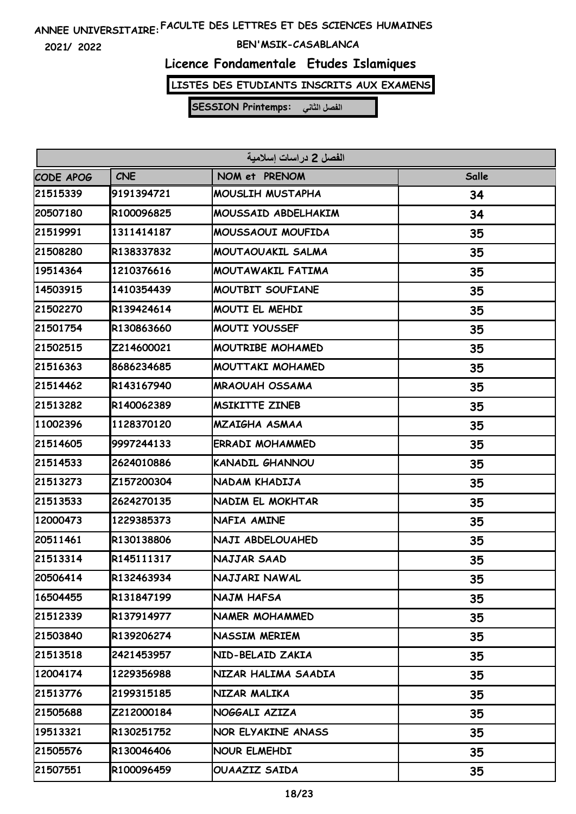**2021/ 2022**

### **BEN'MSIK-CASABLANCA**

# **Licence Fondamentale Etudes Islamiques**

**LISTES DES ETUDIANTS INSCRITS AUX EXAMENS**

| الفصل 2 دراسات إسلامية |            |                        |       |  |
|------------------------|------------|------------------------|-------|--|
| CODE APOG              | <b>CNE</b> | NOM et PRENOM          | Salle |  |
| 21515339               | 9191394721 | MOUSLIH MUSTAPHA       | 34    |  |
| 20507180               | R100096825 | MOUSSAID ABDELHAKIM    | 34    |  |
| 21519991               | 1311414187 | MOUSSAOUI MOUFIDA      | 35    |  |
| 21508280               | R138337832 | MOUTAOUAKIL SALMA      | 35    |  |
| 19514364               | 1210376616 | MOUTAWAKIL FATIMA      | 35    |  |
| 14503915               | 1410354439 | MOUTBIT SOUFIANE       | 35    |  |
| 21502270               | R139424614 | MOUTI EL MEHDI         | 35    |  |
| 21501754               | R130863660 | <b>MOUTI YOUSSEF</b>   | 35    |  |
| 21502515               | Z214600021 | MOUTRIBE MOHAMED       | 35    |  |
| 21516363               | 8686234685 | MOUTTAKI MOHAMED       | 35    |  |
| 21514462               | R143167940 | <b>MRAOUAH OSSAMA</b>  | 35    |  |
| 21513282               | R140062389 | <b>MSIKITTE ZINEB</b>  | 35    |  |
| 11002396               | 1128370120 | <b>MZAIGHA ASMAA</b>   | 35    |  |
| 21514605               | 9997244133 | ERRADI MOHAMMED        | 35    |  |
| 21514533               | 2624010886 | <b>KANADIL GHANNOU</b> | 35    |  |
| 21513273               | Z157200304 | NADAM KHADIJA          | 35    |  |
| 21513533               | 2624270135 | NADIM EL MOKHTAR       | 35    |  |
| 12000473               | 1229385373 | NAFIA AMINE            | 35    |  |
| 20511461               | R130138806 | NAJI ABDELOUAHED       | 35    |  |
| 21513314               | R145111317 | NAJJAR SAAD            | 35    |  |
| 20506414               | R132463934 | NAJJARI NAWAL          | 35    |  |
| 16504455               | R131847199 | NAJM HAFSA             | 35    |  |
| 21512339               | R137914977 | NAMER MOHAMMED         | 35    |  |
| 21503840               | R139206274 | NASSIM MERIEM          | 35    |  |
| 21513518               | 2421453957 | NID-BELAID ZAKIA       | 35    |  |
| 12004174               | 1229356988 | NIZAR HALIMA SAADIA    | 35    |  |
| 21513776               | 2199315185 | NIZAR MALIKA           | 35    |  |
| 21505688               | Z212000184 | NOGGALI AZIZA          | 35    |  |
| 19513321               | R130251752 | NOR ELYAKINE ANASS     | 35    |  |
| 21505576               | R130046406 | NOUR ELMEHDI           | 35    |  |
| 21507551               | R100096459 | <b>OUAAZIZ SAIDA</b>   | 35    |  |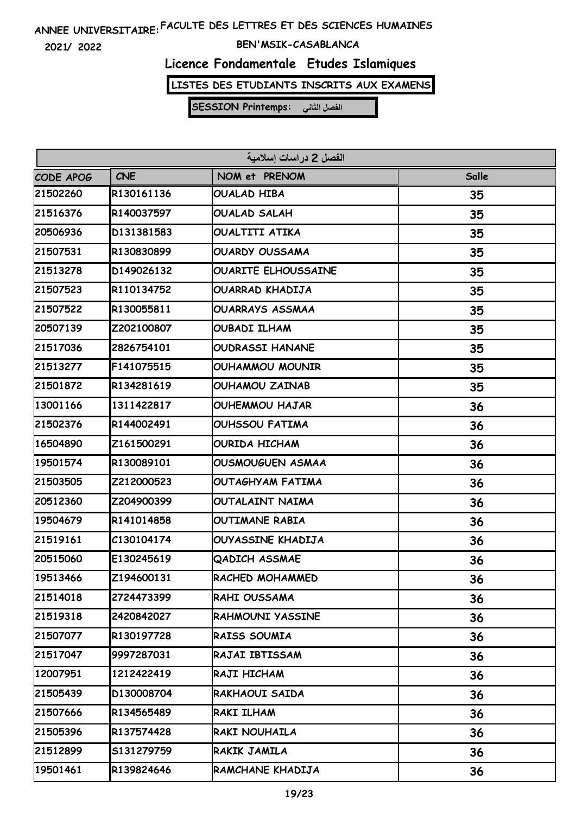**2021/ 2022**

### **BEN'MSIK-CASABLANCA**

# **Licence Fondamentale Etudes Islamiques**

**LISTES DES ETUDIANTS INSCRITS AUX EXAMENS**

| الفصل 2 دراسات إسلامية |            |                            |       |  |
|------------------------|------------|----------------------------|-------|--|
| CODE APOG              | <b>CNE</b> | NOM et PRENOM              | Salle |  |
| 21502260               | R130161136 | OUALAD HIBA                | 35    |  |
| 21516376               | R140037597 | <b>OUALAD SALAH</b>        | 35    |  |
| 20506936               | D131381583 | <b>OUALTITI ATIKA</b>      | 35    |  |
| 21507531               | R130830899 | <b>OUARDY OUSSAMA</b>      | 35    |  |
| 21513278               | D149026132 | <b>OUARITE ELHOUSSAINE</b> | 35    |  |
| 21507523               | R110134752 | OUARRAD KHADIJA            | 35    |  |
| 21507522               | R130055811 | <b>OUARRAYS ASSMAA</b>     | 35    |  |
| 20507139               | Z202100807 | <b>OUBADI ILHAM</b>        | 35    |  |
| 21517036               | 2826754101 | <b>OUDRASSI HANANE</b>     | 35    |  |
| 21513277               | F141075515 | OUHAMMOU MOUNIR            | 35    |  |
| 21501872               | R134281619 | <b>OUHAMOU ZAINAB</b>      | 35    |  |
| 13001166               | 1311422817 | <b>OUHEMMOU HAJAR</b>      | 36    |  |
| 21502376               | R144002491 | <b>OUHSSOU FATIMA</b>      | 36    |  |
| 16504890               | Z161500291 | <b>OURIDA HICHAM</b>       | 36    |  |
| 19501574               | R130089101 | <b>OUSMOUGUEN ASMAA</b>    | 36    |  |
| 21503505               | Z212000523 | <b>OUTAGHYAM FATIMA</b>    | 36    |  |
| 20512360               | Z204900399 | OUTALAINT NAIMA            | 36    |  |
| 19504679               | R141014858 | OUTIMANE RABIA             | 36    |  |
| 21519161               | C130104174 | OUYASSINE KHADIJA          | 36    |  |
| 20515060               | E130245619 | <b>QADICH ASSMAE</b>       | 36    |  |
| 19513466               | Z194600131 | RACHED MOHAMMED            | 36    |  |
| 21514018               | 2724473399 | RAHI OUSSAMA               | 36    |  |
| 21519318               | 2420842027 | RAHMOUNI YASSINE           | 36    |  |
| 21507077               | R130197728 | RAISS SOUMIA               | 36    |  |
| 21517047               | 9997287031 | RAJAI IBTISSAM             | 36    |  |
| 12007951               | 1212422419 | RAJI HICHAM                | 36    |  |
| 21505439               | D130008704 | RAKHAOUI SAIDA             | 36    |  |
| 21507666               | R134565489 | RAKI ILHAM                 | 36    |  |
| 21505396               | R137574428 | RAKI NOUHAILA              | 36    |  |
| 21512899               | S131279759 | RAKIK JAMILA               | 36    |  |
| 19501461               | R139824646 | RAMCHANE KHADIJA           | 36    |  |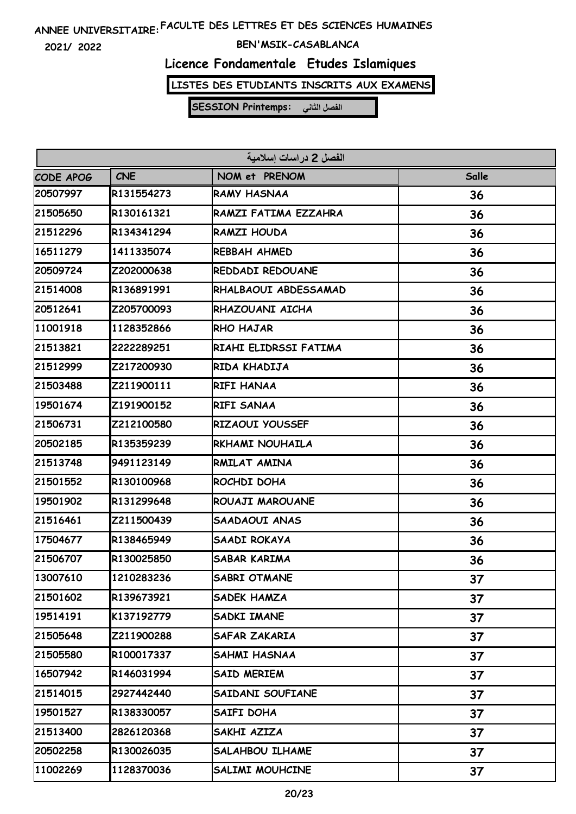**2021/ 2022**

### **BEN'MSIK-CASABLANCA**

# **Licence Fondamentale Etudes Islamiques**

**LISTES DES ETUDIANTS INSCRITS AUX EXAMENS**

| الفصل 2 در اسات اسلامية |            |                        |       |  |
|-------------------------|------------|------------------------|-------|--|
| <b>CODE APOG</b>        | <b>CNE</b> | NOM et PRENOM          | Salle |  |
| 20507997                | R131554273 | <b>RAMY HASNAA</b>     | 36    |  |
| 21505650                | R130161321 | RAMZI FATIMA EZZAHRA   | 36    |  |
| 21512296                | R134341294 | RAMZI HOUDA            | 36    |  |
| 16511279                | 1411335074 | <b>REBBAH AHMED</b>    | 36    |  |
| 20509724                | Z202000638 | REDDADI REDOUANE       | 36    |  |
| 21514008                | R136891991 | RHALBAOUI ABDESSAMAD   | 36    |  |
| 20512641                | Z205700093 | RHAZOUANI AICHA        | 36    |  |
| 11001918                | 1128352866 | RHO HAJAR              | 36    |  |
| 21513821                | 2222289251 | RIAHI ELIDRSSI FATIMA  | 36    |  |
| 21512999                | Z217200930 | RIDA KHADIJA           | 36    |  |
| 21503488                | Z211900111 | RIFI HANAA             | 36    |  |
| 19501674                | Z191900152 | RIFI SANAA             | 36    |  |
| 21506731                | Z212100580 | RIZAOUI YOUSSEF        | 36    |  |
| 20502185                | R135359239 | RKHAMI NOUHAILA        | 36    |  |
| 21513748                | 9491123149 | RMILAT AMINA           | 36    |  |
| 21501552                | R130100968 | ROCHDI DOHA            | 36    |  |
| 19501902                | R131299648 | ROUAJI MAROUANE        | 36    |  |
| 21516461                | Z211500439 | SAADAOUI ANAS          | 36    |  |
| 17504677                | R138465949 | SAADI ROKAYA           | 36    |  |
| 21506707                | R130025850 | <b>SABAR KARIMA</b>    | 36    |  |
| 13007610                | 1210283236 | SABRI OTMANE           | 37    |  |
| 21501602                | R139673921 | SADEK HAMZA            | 37    |  |
| 19514191                | K137192779 | SADKI IMANE            | 37    |  |
| 21505648                | Z211900288 | SAFAR ZAKARIA          | 37    |  |
| 21505580                | R100017337 | SAHMI HASNAA           | 37    |  |
| 16507942                | R146031994 | SAID MERIEM            | 37    |  |
| 21514015                | 2927442440 | SAIDANI SOUFIANE       | 37    |  |
| 19501527                | R138330057 | SAIFI DOHA             | 37    |  |
| 21513400                | 2826120368 | SAKHI AZIZA            | 37    |  |
| 20502258                | R130026035 | <b>SALAHBOU ILHAME</b> | 37    |  |
| 11002269                | 1128370036 | SALIMI MOUHCINE        | 37    |  |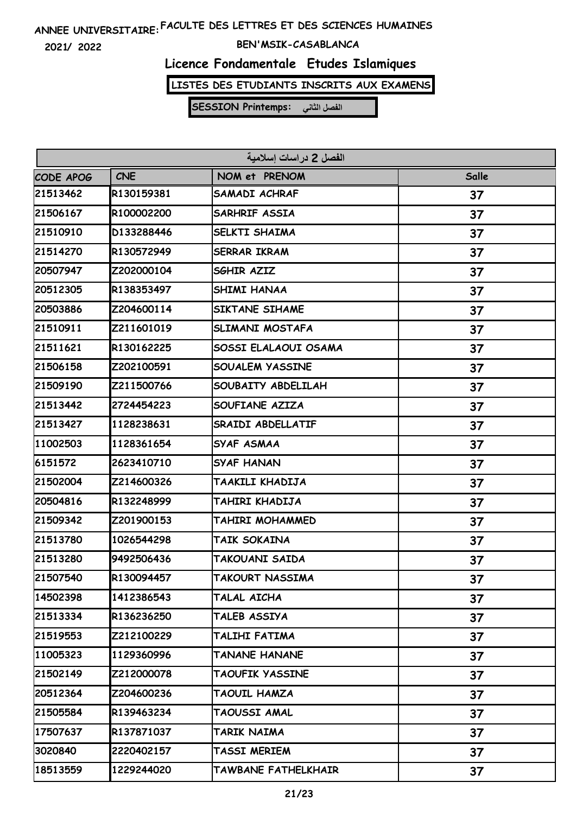**2021/ 2022**

### **BEN'MSIK-CASABLANCA**

# **Licence Fondamentale Etudes Islamiques**

**LISTES DES ETUDIANTS INSCRITS AUX EXAMENS**

| الفصل 2 دراسات إسلامية |            |                        |       |  |
|------------------------|------------|------------------------|-------|--|
| CODE APOG              | <b>CNE</b> | NOM et PRENOM          | Salle |  |
| 21513462               | R130159381 | <b>SAMADI ACHRAF</b>   | 37    |  |
| 21506167               | R100002200 | <b>SARHRIF ASSIA</b>   | 37    |  |
| 21510910               | D133288446 | SELKTI SHAIMA          | 37    |  |
| 21514270               | R130572949 | <b>SERRAR IKRAM</b>    | 37    |  |
| 20507947               | Z202000104 | SGHIR AZIZ             | 37    |  |
| 20512305               | R138353497 | <b>SHIMI HANAA</b>     | 37    |  |
| 20503886               | Z204600114 | SIKTANE SIHAME         | 37    |  |
| 21510911               | Z211601019 | SLIMANI MOSTAFA        | 37    |  |
| 21511621               | R130162225 | SOSSI ELALAOUI OSAMA   | 37    |  |
| 21506158               | Z202100591 | <b>SOUALEM YASSINE</b> | 37    |  |
| 21509190               | Z211500766 | SOUBAITY ABDELILAH     | 37    |  |
| 21513442               | 2724454223 | SOUFIANE AZIZA         | 37    |  |
| 21513427               | 1128238631 | SRAIDI ABDELLATIF      | 37    |  |
| 11002503               | 1128361654 | SYAF ASMAA             | 37    |  |
| 6151572                | 2623410710 | <b>SYAF HANAN</b>      | 37    |  |
| 21502004               | Z214600326 | TAAKILI KHADIJA        | 37    |  |
| 20504816               | R132248999 | TAHIRI KHADIJA         | 37    |  |
| 21509342               | Z201900153 | TAHIRI MOHAMMED        | 37    |  |
| 21513780               | 1026544298 | TAIK SOKAINA           | 37    |  |
| 21513280               | 9492506436 | TAKOUANI SAIDA         | 37    |  |
| 21507540               | R130094457 | TAKOURT NASSIMA        | 37    |  |
| 14502398               | 1412386543 | TALAL AICHA            | 37    |  |
| 21513334               | R136236250 | TALEB ASSIYA           | 37    |  |
| 21519553               | Z212100229 | TALIHI FATIMA          | 37    |  |
| 11005323               | 1129360996 | <b>TANANE HANANE</b>   | 37    |  |
| 21502149               | Z212000078 | TAOUFIK YASSINE        | 37    |  |
| 20512364               | Z204600236 | TAOUIL HAMZA           | 37    |  |
| 21505584               | R139463234 | TAOUSSI AMAL           | 37    |  |
| 17507637               | R137871037 | TARIK NAIMA            | 37    |  |
| 3020840                | 2220402157 | TASSI MERIEM           | 37    |  |
| 18513559               | 1229244020 | TAWBANE FATHELKHAIR    | 37    |  |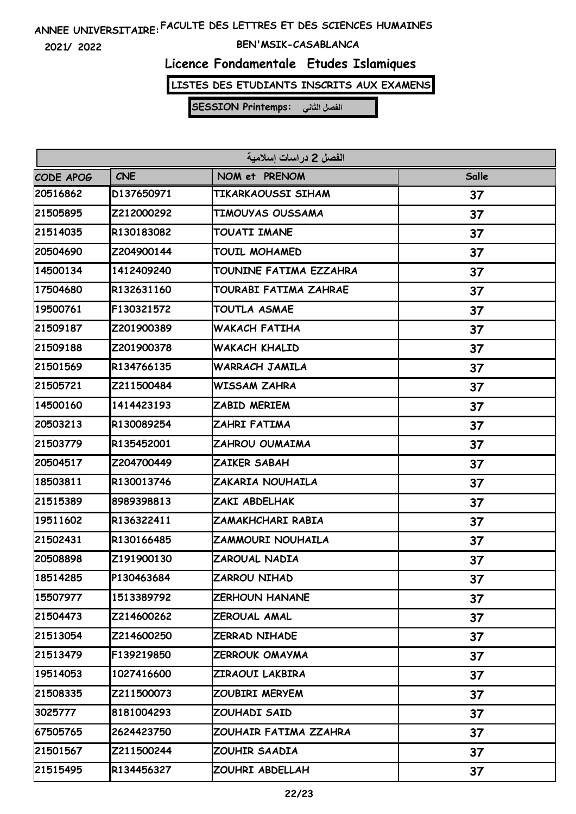**2021/ 2022**

### **BEN'MSIK-CASABLANCA**

# **Licence Fondamentale Etudes Islamiques**

**LISTES DES ETUDIANTS INSCRITS AUX EXAMENS**

| الفصل 2 در اسات اسلامية |            |                        |       |  |
|-------------------------|------------|------------------------|-------|--|
| CODE APOG               | <b>CNE</b> | NOM et PRENOM          | Salle |  |
| 20516862                | D137650971 | TIKARKAOUSSI SIHAM     | 37    |  |
| 21505895                | Z212000292 | TIMOUYAS OUSSAMA       | 37    |  |
| 21514035                | R130183082 | TOUATI IMANE           | 37    |  |
| 20504690                | Z204900144 | TOUIL MOHAMED          | 37    |  |
| 14500134                | 1412409240 | TOUNINE FATIMA EZZAHRA | 37    |  |
| 17504680                | R132631160 | TOURABI FATIMA ZAHRAE  | 37    |  |
| 19500761                | F130321572 | TOUTLA ASMAE           | 37    |  |
| 21509187                | Z201900389 | WAKACH FATIHA          | 37    |  |
| 21509188                | Z201900378 | <b>WAKACH KHALID</b>   | 37    |  |
| 21501569                | R134766135 | <b>WARRACH JAMILA</b>  | 37    |  |
| 21505721                | Z211500484 | <b>WISSAM ZAHRA</b>    | 37    |  |
| 14500160                | 1414423193 | ZABID MERIEM           | 37    |  |
| 20503213                | R130089254 | ZAHRI FATIMA           | 37    |  |
| 21503779                | R135452001 | ZAHROU OUMAIMA         | 37    |  |
| 20504517                | Z204700449 | ZAIKER SABAH           | 37    |  |
| 18503811                | R130013746 | ZAKARIA NOUHAILA       | 37    |  |
| 21515389                | 8989398813 | ZAKI ABDELHAK          | 37    |  |
| 19511602                | R136322411 | ZAMAKHCHARI RABIA      | 37    |  |
| 21502431                | R130166485 | ZAMMOURI NOUHAILA      | 37    |  |
| 20508898                | Z191900130 | ZAROUAL NADIA          | 37    |  |
| 18514285                | P130463684 | <b>ZARROU NIHAD</b>    | 37    |  |
| 15507977                | 1513389792 | <b>ZERHOUN HANANE</b>  | 37    |  |
| 21504473                | Z214600262 | ZEROUAL AMAL           | 37    |  |
| 21513054                | Z214600250 | ZERRAD NIHADE          | 37    |  |
| 21513479                | F139219850 | ZERROUK OMAYMA         | 37    |  |
| 19514053                | 1027416600 | ZIRAOUI LAKBIRA        | 37    |  |
| 21508335                | Z211500073 | ZOUBIRI MERYEM         | 37    |  |
| 3025777                 | 8181004293 | ZOUHADI SAID           | 37    |  |
| 67505765                | 2624423750 | ZOUHAIR FATIMA ZZAHRA  | 37    |  |
| 21501567                | Z211500244 | ZOUHIR SAADIA          | 37    |  |
| 21515495                | R134456327 | ZOUHRI ABDELLAH        | 37    |  |